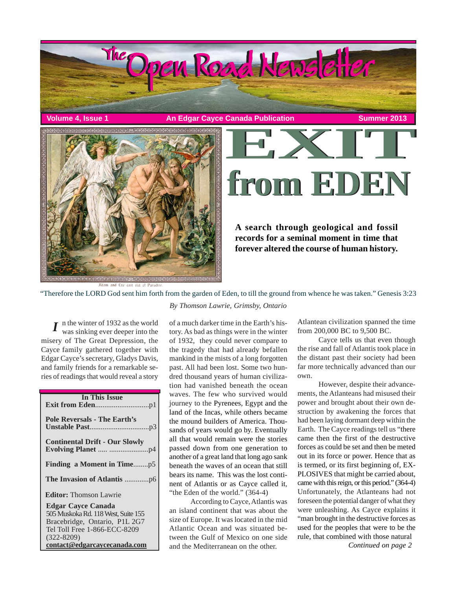

**Volume 4, Issue 1 An Edgar Cayce Canada Publication Summer 2013** 



**from EDEN from EDEN**

**A search through geological and fossil records for a seminal moment in time that forever altered the course of human history.**

"Therefore the LORD God sent him forth from the garden of Eden, to till the ground from whence he was taken." Genesis 3:23

 $I$  n the winter of 1932 as the world<br>was sinking ever deeper into the was sinking ever deeper into the misery of The Great Depression, the Cayce family gathered together with Edgar Cayce's secretary, Gladys Davis, and family friends for a remarkable series of readings that would reveal a story

| <b>In This Issue</b>                                                                                                                                                                |
|-------------------------------------------------------------------------------------------------------------------------------------------------------------------------------------|
| <b>Pole Reversals - The Earth's</b>                                                                                                                                                 |
| <b>Continental Drift - Our Slowly</b>                                                                                                                                               |
|                                                                                                                                                                                     |
|                                                                                                                                                                                     |
| <b>Editor:</b> Thomson Lawrie                                                                                                                                                       |
| <b>Edgar Cayce Canada</b><br>505 Muskoka Rd. 118 West, Suite 155<br>Bracebridge, Ontario, P1L 2G7<br>Tel Toll Free 1-866-ECC-8209<br>$(322 - 8209)$<br>contact@edgarcaycecanada.com |
|                                                                                                                                                                                     |

*By Thomson Lawrie, Grimsby, Ontario*

of a much darker time in the Earth's history. As bad as things were in the winter of 1932, they could never compare to the tragedy that had already befallen mankind in the mists of a long forgotten past. All had been lost. Some two hundred thousand years of human civilization had vanished beneath the ocean waves. The few who survived would journey to the Pyrenees, Egypt and the land of the Incas, while others became the mound builders of America. Thousands of years would go by. Eventually all that would remain were the stories passed down from one generation to another of a great land that long ago sank beneath the waves of an ocean that still bears its name. This was the lost continent of Atlantis or as Cayce called it, "the Eden of the world." (364-4)

According to Cayce, Atlantis was an island continent that was about the size of Europe. It was located in the mid Atlantic Ocean and was situated between the Gulf of Mexico on one side and the Mediterranean on the other.

Atlantean civilization spanned the time from 200,000 BC to 9,500 BC.

Cayce tells us that even though the rise and fall of Atlantis took place in the distant past their society had been far more technically advanced than our own.

*Continued on page 2* However, despite their advancements, the Atlanteans had misused their power and brought about their own destruction by awakening the forces that had been laying dormant deep within the Earth. The Cayce readings tell us "there came then the first of the destructive forces as could be set and then be meted out in its force or power. Hence that as is termed, or its first beginning of, EX-PLOSIVES that might be carried about, came with this reign, or this period." (364-4) Unfortunately, the Atlanteans had not foreseen the potential danger of what they were unleashing. As Cayce explains it "man brought in the destructive forces as used for the peoples that were to be the rule, that combined with those natural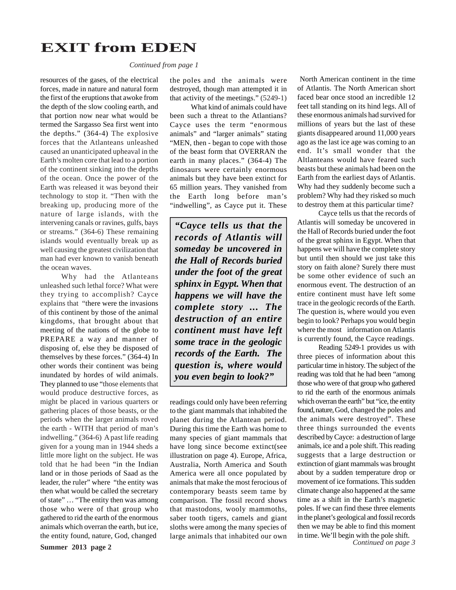### **EXIT from EDEN**

*Continued from page 1*

resources of the gases, of the electrical forces, made in nature and natural form the first of the eruptions that awoke from the depth of the slow cooling earth, and that portion now near what would be termed the Sargasso Sea first went into the depths." (364-4) The explosive forces that the Atlanteans unleashed caused an unanticipated upheaval in the Earth's molten core that lead to a portion of the continent sinking into the depths of the ocean. Once the power of the Earth was released it was beyond their technology to stop it. "Then with the breaking up, producing more of the nature of large islands, with the intervening canals or ravines, gulfs, bays or streams." (364-6) These remaining islands would eventually break up as well causing the greatest civilization that man had ever known to vanish beneath the ocean waves.

Why had the Atlanteans unleashed such lethal force? What were they trying to accomplish? Cayce explains that "there were the invasions of this continent by those of the animal kingdoms, that brought about that meeting of the nations of the globe to PREPARE a way and manner of disposing of, else they be disposed of themselves by these forces." (364-4) In other words their continent was being inundated by hordes of wild animals. They planned to use "those elements that would produce destructive forces, as might be placed in various quarters or gathering places of those beasts, or the periods when the larger animals roved the earth - WITH that period of man's indwelling." (364-6) A past life reading given for a young man in 1944 sheds a little more light on the subject. He was told that he had been "in the Indian land or in those periods of Saad as the leader, the ruler" where "the entity was then what would be called the secretary of state" … "The entity then was among those who were of that group who gathered to rid the earth of the enormous animals which overran the earth, but ice, the entity found, nature, God, changed

**Summer 2013 page 2**

the poles and the animals were destroyed, though man attempted it in that activity of the meetings." (5249-1)

What kind of animals could have been such a threat to the Atlantians? Cayce uses the term "enormous animals" and "larger animals" stating "MEN, then - began to cope with those of the beast form that OVERRAN the earth in many places." (364-4) The dinosaurs were certainly enormous animals but they have been extinct for 65 million years. They vanished from the Earth long before man's "indwelling", as Cayce put it. These

*"Cayce tells us that the records of Atlantis will someday be uncovered in the Hall of Records buried under the foot of the great sphinx in Egypt. When that happens we will have the complete story ... The destruction of an entire continent must have left some trace in the geologic records of the Earth. The question is, where would you even begin to look?"*

readings could only have been referring to the giant mammals that inhabited the planet during the Atlantean period. During this time the Earth was home to many species of giant mammals that have long since become extinct(see illustration on page 4). Europe, Africa, Australia, North America and South America were all once populated by animals that make the most ferocious of contemporary beasts seem tame by comparison. The fossil record shows that mastodons, wooly mammoths, saber tooth tigers, camels and giant sloths were among the many species of

 North American continent in the time of Atlantis. The North American short faced bear once stood an incredible 12 feet tall standing on its hind legs. All of these enormous animals had survived for millions of years but the last of these giants disappeared around 11,000 years ago as the last ice age was coming to an end. It's small wonder that the Altlanteans would have feared such beasts but these animals had been on the Earth from the earliest days of Atlantis. Why had they suddenly become such a problem? Why had they risked so much to destroy them at this particular time?

Cayce tells us that the records of Atlantis will someday be uncovered in the Hall of Records buried under the foot of the great sphinx in Egypt. When that happens we will have the complete story but until then should we just take this story on faith alone? Surely there must be some other evidence of such an enormous event. The destruction of an entire continent must have left some trace in the geologic records of the Earth. The question is, where would you even begin to look? Perhaps you would begin where the most information on Atlantis is currently found, the Cayce readings.

large animals that inhabited our own in time. We'll begin with the pole shift.<br>Continued on page 3 Reading 5249-1 provides us with three pieces of information about this particular time in history. The subject of the reading was told that he had been "among those who were of that group who gathered to rid the earth of the enormous animals which overran the earth" but "ice, the entity found, nature, God, changed the poles and the animals were destroyed". These three things surrounded the events described by Cayce: a destruction of large animals, ice and a pole shift. This reading suggests that a large destruction or extinction of giant mammals was brought about by a sudden temperature drop or movement of ice formations. This sudden climate change also happened at the same time as a shift in the Earth's magnetic poles. If we can find these three elements in the planet's geological and fossil records then we may be able to find this moment in time. We'll begin with the pole shift.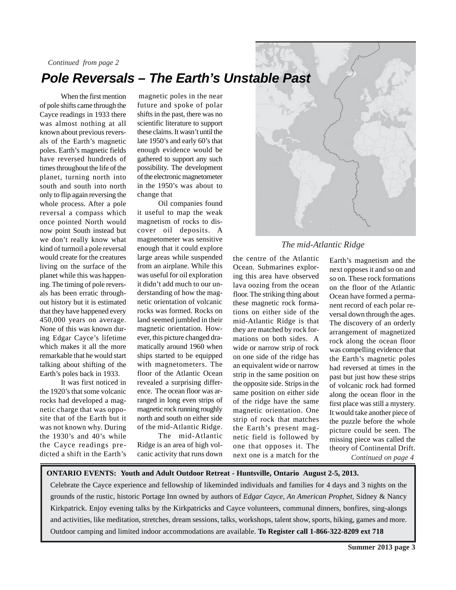# *Pole Reversals – The Earth's Unstable Past*

When the first mention of pole shifts came through the Cayce readings in 1933 there was almost nothing at all known about previous reversals of the Earth's magnetic poles. Earth's magnetic fields have reversed hundreds of times throughout the life of the planet, turning north into south and south into north only to flip again reversing the whole process. After a pole reversal a compass which once pointed North would now point South instead but we don't really know what kind of turmoil a pole reversal would create for the creatures living on the surface of the planet while this was happening. The timing of pole reversals has been erratic throughout history but it is estimated that they have happened every 450,000 years on average. None of this was known during Edgar Cayce's lifetime which makes it all the more remarkable that he would start talking about shifting of the Earth's poles back in 1933.

*Continued from page 2*

It was first noticed in the 1920's that some volcanic rocks had developed a magnetic charge that was opposite that of the Earth but it was not known why. During the 1930's and 40's while the Cayce readings predicted a shift in the Earth's

 magnetic poles in the near future and spoke of polar shifts in the past, there was no scientific literature to support these claims. It wasn't until the late 1950's and early 60's that enough evidence would be gathered to support any such possibility. The development of the electronic magnetometer in the 1950's was about to change that

Oil companies found it useful to map the weak magnetism of rocks to discover oil deposits. A magnetometer was sensitive enough that it could explore large areas while suspended from an airplane. While this was useful for oil exploration it didn't add much to our understanding of how the magnetic orientation of volcanic rocks was formed. Rocks on land seemed jumbled in their magnetic orientation. However, this picture changed dramatically around 1960 when ships started to be equipped with magnetometers. The floor of the Atlantic Ocean revealed a surprising difference. The ocean floor was arranged in long even strips of magnetic rock running roughly north and south on either side of the mid-Atlantic Ridge.

The mid-Atlantic Ridge is an area of high volcanic activity that runs down



### *The mid-Atlantic Ridge*

the centre of the Atlantic Ocean. Submarines exploring this area have observed lava oozing from the ocean floor. The striking thing about these magnetic rock formations on either side of the mid-Atlantic Ridge is that they are matched by rock formations on both sides. A wide or narrow strip of rock on one side of the ridge has an equivalent wide or narrow strip in the same position on the opposite side. Strips in the same position on either side of the ridge have the same magnetic orientation. One strip of rock that matches the Earth's present magnetic field is followed by one that opposes it. The next one is a match for the

*Continued on page 4* Earth's magnetism and the next opposes it and so on and so on. These rock formations on the floor of the Atlantic Ocean have formed a permanent record of each polar reversal down through the ages. The discovery of an orderly arrangement of magnetized rock along the ocean floor was compelling evidence that the Earth's magnetic poles had reversed at times in the past but just how these strips of volcanic rock had formed along the ocean floor in the first place was still a mystery. It would take another piece of the puzzle before the whole picture could be seen. The missing piece was called the theory of Continental Drift.

#### **ONTARIO EVENTS: Youth and Adult Outdoor Retreat - Huntsville, Ontario August 2-5, 2013.**

Celebrate the Cayce experience and fellowship of likeminded individuals and families for 4 days and 3 nights on the grounds of the rustic, historic Portage Inn owned by authors of *Edgar Cayce, An American Prophet*, Sidney & Nancy Kirkpatrick. Enjoy evening talks by the Kirkpatricks and Cayce volunteers, communal dinners, bonfires, sing-alongs and activities, like meditation, stretches, dream sessions, talks, workshops, talent show, sports, hiking, games and more. Outdoor camping and limited indoor accommodations are available. **To Register call 1-866-322-8209 ext 718**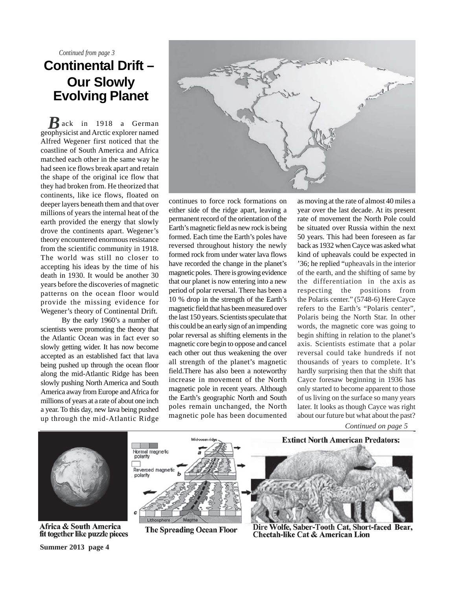*Continued from page 3*

### **Continental Drift – Our Slowly Evolving Planet**

*R*ack in 1918 a German geophysicist and Arctic explorer named Alfred Wegener first noticed that the coastline of South America and Africa matched each other in the same way he had seen ice flows break apart and retain the shape of the original ice flow that they had broken from. He theorized that continents, like ice flows, floated on deeper layers beneath them and that over millions of years the internal heat of the earth provided the energy that slowly drove the continents apart. Wegener's theory encountered enormous resistance from the scientific community in 1918. The world was still no closer to accepting his ideas by the time of his death in 1930. It would be another 30 years before the discoveries of magnetic patterns on the ocean floor would provide the missing evidence for Wegener's theory of Continental Drift.

By the early 1960's a number of scientists were promoting the theory that the Atlantic Ocean was in fact ever so slowly getting wider. It has now become accepted as an established fact that lava being pushed up through the ocean floor along the mid-Atlantic Ridge has been slowly pushing North America and South America away from Europe and Africa for millions of years at a rate of about one inch a year. To this day, new lava being pushed up through the mid-Atlantic Ridge



continues to force rock formations on either side of the ridge apart, leaving a permanent record of the orientation of the Earth's magnetic field as new rock is being formed. Each time the Earth's poles have reversed throughout history the newly formed rock from under water lava flows have recorded the change in the planet's magnetic poles. There is growing evidence that our planet is now entering into a new period of polar reversal. There has been a 10 % drop in the strength of the Earth's magnetic field that has been measured over the last 150 years. Scientists speculate that this could be an early sign of an impending polar reversal as shifting elements in the magnetic core begin to oppose and cancel each other out thus weakening the over all strength of the planet's magnetic field.There has also been a noteworthy increase in movement of the North magnetic pole in recent years. Although the Earth's geographic North and South poles remain unchanged, the North magnetic pole has been documented

as moving at the rate of almost 40 miles a year over the last decade. At its present rate of movement the North Pole could be situated over Russia within the next 50 years. This had been foreseen as far back as 1932 when Cayce was asked what kind of upheavals could be expected in '36; he replied "upheavals in the interior of the earth, and the shifting of same by the differentiation in the axis as respecting the positions from the Polaris center." (5748-6) Here Cayce refers to the Earth's "Polaris center", Polaris being the North Star. In other words, the magnetic core was going to begin shifting in relation to the planet's axis. Scientists estimate that a polar reversal could take hundreds if not thousands of years to complete. It's hardly surprising then that the shift that Cayce foresaw beginning in 1936 has only started to become apparent to those of us living on the surface so many years later. It looks as though Cayce was right about our future but what about the past?

*Continued on page 5*



Africa & South America fit together like puzzle pieces

**Summer 2013 page 4**



**The Spreading Ocean Floor** 



**Extinct North American Predators:** 

Dire Wolfe, Saber-Tooth Cat, Short-faced Bear, **Cheetah-like Cat & American Lion**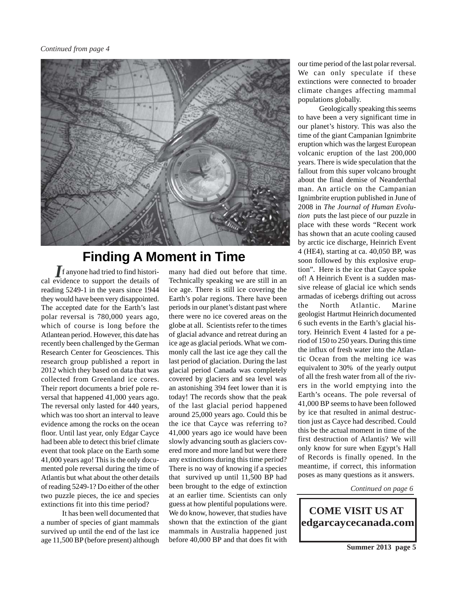

## **Finding A Moment in Time**

f anyone had tried to find histori-*I* cal evidence to support the details of reading 5249-1 in the years since 1944 they would have been very disappointed. The accepted date for the Earth's last polar reversal is 780,000 years ago, which of course is long before the Atlantean period. However, this date has recently been challenged by the German Research Center for Geosciences. This research group published a report in 2012 which they based on data that was collected from Greenland ice cores. Their report documents a brief pole reversal that happened 41,000 years ago. The reversal only lasted for 440 years, which was too short an interval to leave evidence among the rocks on the ocean floor. Until last year, only Edgar Cayce had been able to detect this brief climate event that took place on the Earth some 41,000 years ago! This is the only documented pole reversal during the time of Atlantis but what about the other details of reading 5249-1? Do either of the other two puzzle pieces, the ice and species extinctions fit into this time period?

It has been well documented that a number of species of giant mammals survived up until the end of the last ice age 11,500 BP (before present) although many had died out before that time. Technically speaking we are still in an ice age. There is still ice covering the Earth's polar regions. There have been periods in our planet's distant past where there were no ice covered areas on the globe at all. Scientists refer to the times of glacial advance and retreat during an ice age as glacial periods. What we commonly call the last ice age they call the last period of glaciation. During the last glacial period Canada was completely covered by glaciers and sea level was an astonishing 394 feet lower than it is today! The records show that the peak of the last glacial period happened around 25,000 years ago. Could this be the ice that Cayce was referring to? 41,000 years ago ice would have been slowly advancing south as glaciers covered more and more land but were there any extinctions during this time period? There is no way of knowing if a species that survived up until 11,500 BP had been brought to the edge of extinction at an earlier time. Scientists can only guess at how plentiful populations were. We do know, however, that studies have shown that the extinction of the giant mammals in Australia happened just before 40,000 BP and that does fit with

our time period of the last polar reversal. We can only speculate if these extinctions were connected to broader climate changes affecting mammal populations globally.

Geologically speaking this seems to have been a very significant time in our planet's history. This was also the time of the giant Campanian Ignimbrite eruption which was the largest European volcanic eruption of the last 200,000 years. There is wide speculation that the fallout from this super volcano brought about the final demise of Neanderthal man. An article on the Campanian Ignimbrite eruption published in June of 2008 in *The Journal of Human Evolution* puts the last piece of our puzzle in place with these words "Recent work has shown that an acute cooling caused by arctic ice discharge, Heinrich Event 4 (HE4), starting at ca. 40,050 BP, was soon followed by this explosive eruption". Here is the ice that Cayce spoke of! A Heinrich Event is a sudden massive release of glacial ice which sends armadas of icebergs drifting out across the North Atlantic. Marine geologist Hartmut Heinrich documented 6 such events in the Earth's glacial history. Heinrich Event 4 lasted for a period of 150 to 250 years. During this time the influx of fresh water into the Atlantic Ocean from the melting ice was equivalent to 30% of the yearly output of all the fresh water from all of the rivers in the world emptying into the Earth's oceans. The pole reversal of 41,000 BP seems to have been followed by ice that resulted in animal destruction just as Cayce had described. Could this be the actual moment in time of the first destruction of Atlantis? We will only know for sure when Egypt's Hall of Records is finally opened. In the meantime, if correct, this information poses as many questions as it answers.

*Continued on page 6*

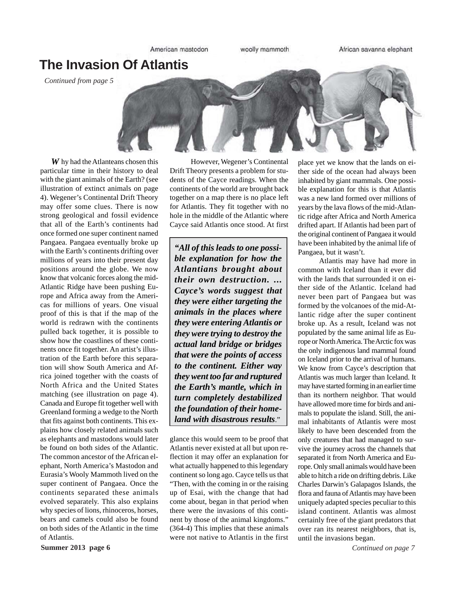American mastodon

woolly mammoth

African savanna elephant

### **The Invasion Of Atlantis**

*Continued from page 5*



W hy had the Atlanteans chosen this particular time in their history to deal with the giant animals of the Earth? (see illustration of extinct animals on page 4). Wegener's Continental Drift Theory may offer some clues. There is now strong geological and fossil evidence that all of the Earth's continents had once formed one super continent named Pangaea. Pangaea eventually broke up with the Earth's continents drifting over millions of years into their present day positions around the globe. We now know that volcanic forces along the mid-Atlantic Ridge have been pushing Europe and Africa away from the Americas for millions of years. One visual proof of this is that if the map of the world is redrawn with the continents pulled back together, it is possible to show how the coastlines of these continents once fit together. An artist's illustration of the Earth before this separation will show South America and Africa joined together with the coasts of North Africa and the United States matching (see illustration on page 4). Canada and Europe fit together well with Greenland forming a wedge to the North that fits against both continents. This explains how closely related animals such as elephants and mastodons would later be found on both sides of the Atlantic. The common ancestor of the African elephant, North America's Mastodon and Eurasia's Wooly Mammoth lived on the super continent of Pangaea. Once the continents separated these animals evolved separately. This also explains why species of lions, rhinoceros, horses, bears and camels could also be found on both sides of the Atlantic in the time of Atlantis.

However, Wegener's Continental Drift Theory presents a problem for students of the Cayce readings. When the continents of the world are brought back together on a map there is no place left for Atlantis. They fit together with no hole in the middle of the Atlantic where Cayce said Atlantis once stood. At first

*"All of this leads to one possible explanation for how the Atlantians brought about their own destruction. ... Cayce's words suggest that they were either targeting the animals in the places where they were entering Atlantis or they were trying to destroy the actual land bridge or bridges that were the points of access to the continent. Either way they went too far and ruptured the Earth's mantle, which in turn completely destabilized the foundation of their homeland with disastrous results*."

glance this would seem to be proof that Atlantis never existed at all but upon reflection it may offer an explanation for what actually happened to this legendary continent so long ago. Cayce tells us that "Then, with the coming in or the raising up of Esai, with the change that had come about, began in that period when there were the invasions of this continent by those of the animal kingdoms." (364-4) This implies that these animals were not native to Atlantis in the first

place yet we know that the lands on either side of the ocean had always been inhabited by giant mammals. One possible explanation for this is that Atlantis was a new land formed over millions of years by the lava flows of the mid-Atlantic ridge after Africa and North America drifted apart. If Atlantis had been part of the original continent of Pangaea it would have been inhabited by the animal life of Pangaea, but it wasn't.

Atlantis may have had more in common with Iceland than it ever did with the lands that surrounded it on either side of the Atlantic. Iceland had never been part of Pangaea but was formed by the volcanoes of the mid-Atlantic ridge after the super continent broke up. As a result, Iceland was not populated by the same animal life as Europe or North America. The Arctic fox was the only indigenous land mammal found on Iceland prior to the arrival of humans. We know from Cayce's description that Atlantis was much larger than Iceland. It may have started forming in an earlier time than its northern neighbor. That would have allowed more time for birds and animals to populate the island. Still, the animal inhabitants of Atlantis were most likely to have been descended from the only creatures that had managed to survive the journey across the channels that separated it from North America and Europe. Only small animals would have been able to hitch a ride on drifting debris. Like Charles Darwin's Galapagos Islands, the flora and fauna of Atlantis may have been uniquely adapted species peculiar to this island continent. Atlantis was almost certainly free of the giant predators that over ran its nearest neighbors, that is, until the invasions began.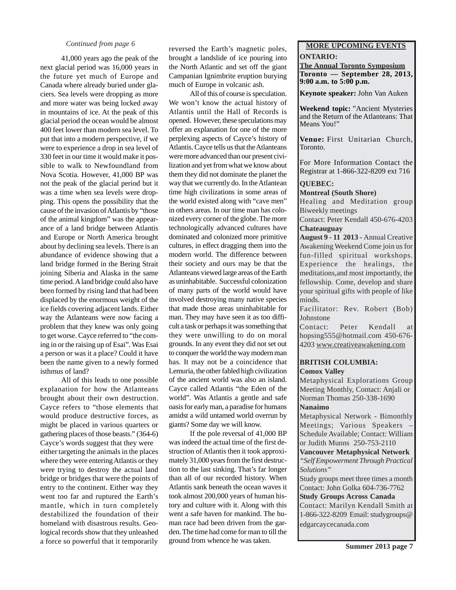#### *Continued from page 6*

41,000 years ago the peak of the next glacial period was 16,000 years in the future yet much of Europe and Canada where already buried under glaciers. Sea levels were dropping as more and more water was being locked away in mountains of ice. At the peak of this glacial period the ocean would be almost 400 feet lower than modern sea level. To put that into a modern perspective, if we were to experience a drop in sea level of 330 feet in our time it would make it possible to walk to Newfoundland from Nova Scotia. However, 41,000 BP was not the peak of the glacial period but it was a time when sea levels were dropping. This opens the possibility that the cause of the invasion of Atlantis by "those of the animal kingdom" was the appearance of a land bridge between Atlantis and Europe or North America brought about by declining sea levels. There is an abundance of evidence showing that a land bridge formed in the Bering Strait joining Siberia and Alaska in the same time period. A land bridge could also have been formed by rising land that had been displaced by the enormous weight of the ice fields covering adjacent lands. Either way the Atlanteans were now facing a problem that they knew was only going to get worse. Cayce referred to "the coming in or the raising up of Esai". Was Esai a person or was it a place? Could it have been the name given to a newly formed isthmus of land?

All of this leads to one possible explanation for how the Atlanteans brought about their own destruction. Cayce refers to "those elements that would produce destructive forces, as might be placed in various quarters or gathering places of those beasts." (364-6) Cayce's words suggest that they were either targeting the animals in the places where they were entering Atlantis or they were trying to destroy the actual land bridge or bridges that were the points of entry to the continent. Either way they went too far and ruptured the Earth's mantle, which in turn completely destabilized the foundation of their homeland with disastrous results. Geological records show that they unleashed a force so powerful that it temporarily

reversed the Earth's magnetic poles, brought a landslide of ice pouring into the North Atlantic and set off the giant Campanian Ignimbrite eruption burying much of Europe in volcanic ash.

All of this of course is speculation. We won't know the actual history of Atlantis until the Hall of Records is opened. However, these speculations may offer an explanation for one of the more perplexing aspects of Cayce's history of Atlantis. Cayce tells us that the Atlanteans were more advanced than our present civilization and yet from what we know about them they did not dominate the planet the way that we currently do. In the Atlantean time high civilizations in some areas of the world existed along with "cave men" in others areas. In our time man has colonized every corner of the globe. The more technologically advanced cultures have dominated and colonized more primitive cultures, in effect dragging them into the modern world. The difference between their society and ours may be that the Atlanteans viewed large areas of the Earth as uninhabitable. Successful colonization of many parts of the world would have involved destroying many native species that made those areas uninhabitable for man. They may have seen it as too difficult a task or perhaps it was something that they were unwilling to do on moral grounds. In any event they did not set out to conquer the world the way modern man has. It may not be a coincidence that Lemuria, the other fabled high civilization of the ancient world was also an island. Cayce called Atlantis "the Eden of the world". Was Atlantis a gentle and safe oasis for early man, a paradise for humans amidst a wild untamed world overrun by giants? Some day we will know.

If the pole reversal of 41,000 BP was indeed the actual time of the first destruction of Atlantis then it took approximately 31,000 years from the first destruction to the last sinking. That's far longer than all of our recorded history. When Atlantis sank beneath the ocean waves it took almost 200,000 years of human history and culture with it. Along with this went a safe haven for mankind. The human race had been driven from the garden. The time had come for man to till the ground from whence he was taken.

### **MORE UPCOMING EVENTS ONTARIO:**

**The Annual Toronto Symposium Toronto — September 28, 2013, 9:00 a.m. to 5:00 p.m.**

**Keynote speaker:** John Van Auken

**Weekend topic:** "Ancient Mysteries and the Return of the Atlanteans: That Means You!"

**Venue:** First Unitarian Church, Toronto.

For More Information Contact the Registrar at 1-866-322-8209 ext 716

### **QUEBEC:**

**Montreal (South Shore)**

Healing and Meditation group Biweekly meetings

Contact: Peter Kendall 450-676-4203 **Chateauguay**

**August 9 - 11 2013 -** Annual Creative Awakening Weekend Come join us for fun-filled spiritual workshops. Experience the healings, the meditations,and most importantly, the fellowship. Come, develop and share your spiritual gifts with people of like minds.

Facilitator: Rev. Robert (Bob) Johnstone

Contact: Peter Kendall at hopsing555@hotmail.com 450-676- 4203 www.creativeawakening.com

#### **BRITISH COLUMBIA: Comox Valley**

Metaphysical Explorations Group Meeting Monthly, Contact: Anjali or Norman Thomas 250-338-1690 **Nanaimo**

Metaphysical Network - Bimonthly Meetings; Various Speakers – Schedule Available; Contact: William or Judith Munns 250-753-2110

**Vancouver Metaphysical Network** *"Self Empowerment Through Practical Solutions"*

Study groups meet three times a month Contact: John Golka 604-736-7762

**Study Groups Across Canada**

Contact: Marilyn Kendall Smith at 1-866-322-8209 Email: studygroups@ edgarcaycecanada.com